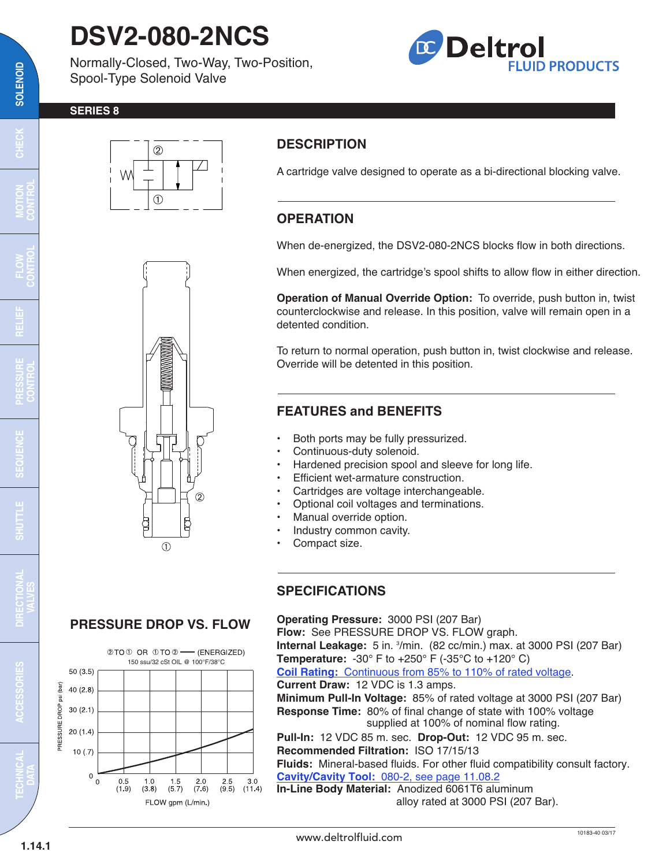# **DSV2-080-2NCS**

Normally-Closed, Two-Way, Two-Position, Spool-Type Solenoid Valve



#### **SERIES 8**



**SOLENOID**

SOLENOID





### **DESCRIPTION**

A cartridge valve designed to operate as a bi-directional blocking valve.

## **OPERATION**

When de-energized, the DSV2-080-2NCS blocks flow in both directions.

When energized, the cartridge's spool shifts to allow flow in either direction.

**Operation of Manual Override Option:** To override, push button in, twist counterclockwise and release. In this position, valve will remain open in a detented condition.

To return to normal operation, push button in, twist clockwise and release. Override will be detented in this position.

#### **FEATURES and BENEFITS**

- Both ports may be fully pressurized.
- Continuous-duty solenoid.
- Hardened precision spool and sleeve for long life.
- Efficient wet-armature construction.
- Cartridges are voltage interchangeable.
- Optional coil voltages and terminations.
- Manual override option.
- Industry common cavity.
- Compact size.

#### **SPECIFICATIONS**

#### **Operating Pressure:** 3000 PSI (207 Bar)

**Flow:** See PRESSURE DROP VS. FLOW graph. **Internal Leakage:** 5 in. <sup>3</sup>/min. (82 cc/min.) max. at 3000 PSI (207 Bar) **Temperature:** -30° F to +250° F (-35°C to +120° C) **Coil Rating:** [Continuous from 85% to 110% of rated voltage.](http://www.deltrolfluid.com/sites/default/files/cartridge/Series-8%20Coils_Complete.pdf) **Current Draw:** 12 VDC is 1.3 amps. **Minimum Pull-In Voltage:** 85% of rated voltage at 3000 PSI (207 Bar) **Response Time:** 80% of final change of state with 100% voltage supplied at 100% of nominal flow rating. **Pull-In:** 12 VDC 85 m. sec. **Drop-Out:** 12 VDC 95 m. sec. **Recommended Filtration:** ISO 17/15/13 **Fluids:** Mineral-based fluids. For other fluid compatibility consult factory. **Cavity/Cavity Tool:** [080-2, see page 11.08.2](http://www.deltrolfluid.com/sites/default/files/cartridge/080-2_Cavity.pdf) **In-Line Body Material:** Anodized 6061T6 aluminum alloy rated at 3000 PSI (207 Bar).

 $\begin{array}{c} 1.0 \\ (3.8) \end{array}$ 

 $\begin{array}{c} 2 & 0 \\ (7 & 6) \end{array}$ 

 $\frac{1}{(5\ 7)}$ 

FLOW gpm (L/min.)

 $\frac{2.5}{(9.5)}$ 

 $3.0$ 

 $(11.4)$ 



#### 10183-40 03/17 www.deltrolfluid.com